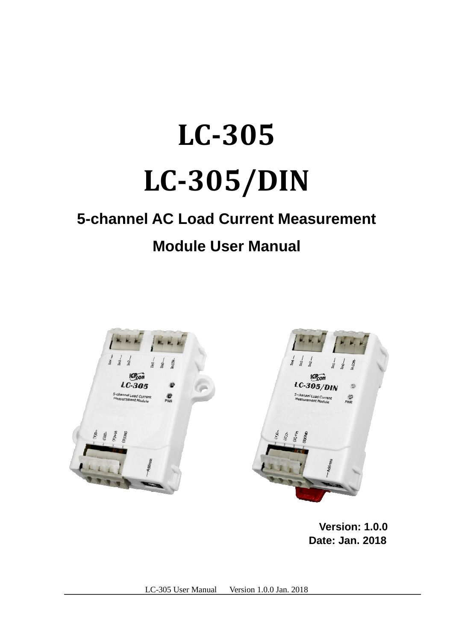# **LC-305 LC-305/DIN**

# **5-channel AC Load Current Measurement**

# **Module User Manual**



**Version: 1.0.0 Date: Jan. 2018**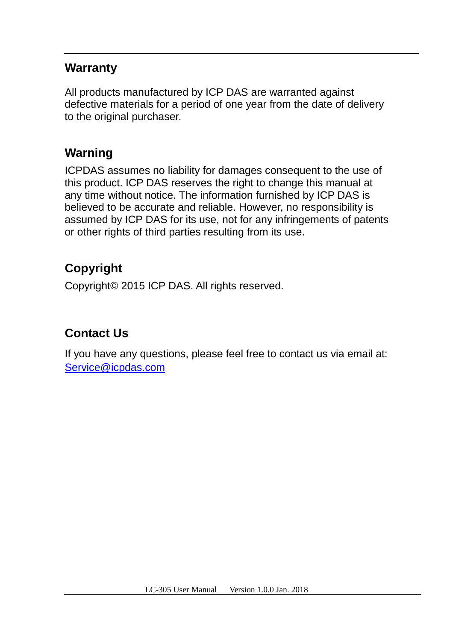#### **Warranty**

All products manufactured by ICP DAS are warranted against defective materials for a period of one year from the date of delivery to the original purchaser.

### **Warning**

ICPDAS assumes no liability for damages consequent to the use of this product. ICP DAS reserves the right to change this manual at any time without notice. The information furnished by ICP DAS is believed to be accurate and reliable. However, no responsibility is assumed by ICP DAS for its use, not for any infringements of patents or other rights of third parties resulting from its use.

## **Copyright**

Copyright© 2015 ICP DAS. All rights reserved.

### **Contact Us**

If you have any questions, please feel free to contact us via email at: Service@icpdas.com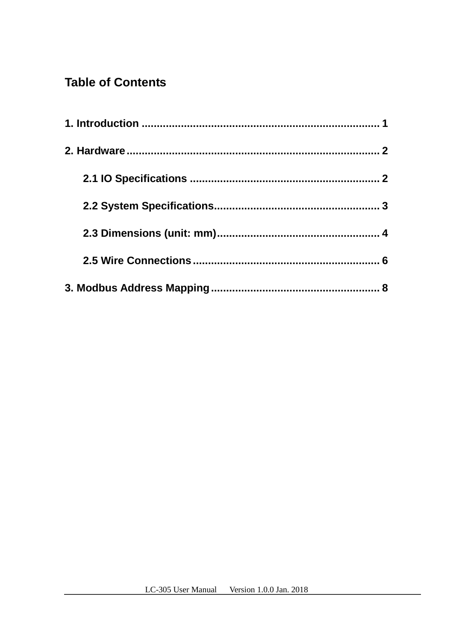## **Table of Contents**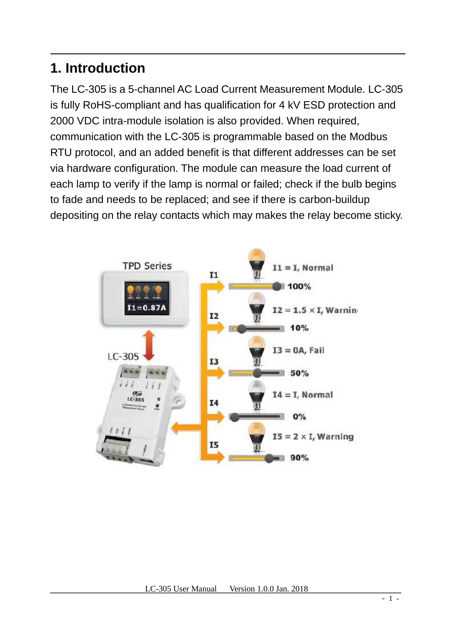## **1. Introduction**

The LC-305 is a 5-channel AC Load Current Measurement Module. LC-305 is fully RoHS-compliant and has qualification for 4 kV ESD protection and 2000 VDC intra-module isolation is also provided. When required, communication with the LC-305 is programmable based on the Modbus RTU protocol, and an added benefit is that different addresses can be set via hardware configuration. The module can measure the load current of each lamp to verify if the lamp is normal or failed; check if the bulb begins to fade and needs to be replaced; and see if there is carbon-buildup depositing on the relay contacts which may makes the relay become sticky.

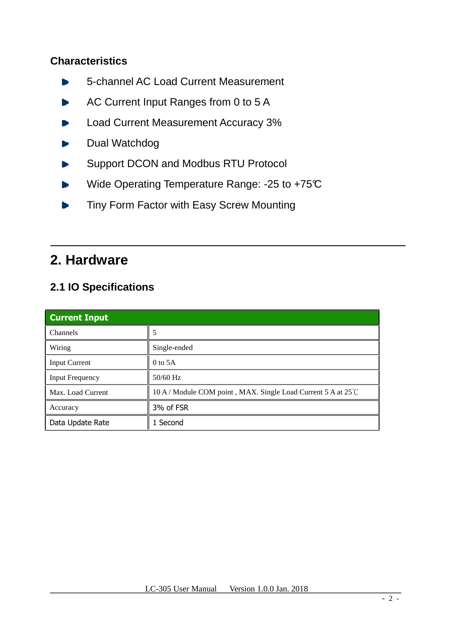#### **Characteristics**

- **5-channel AC Load Current Measurement**
- AC Current Input Ranges from 0 to 5 A
- Load Current Measurement Accuracy 3%
- Dual Watchdog
- Support DCON and Modbus RTU Protocol
- Wide Operating Temperature Range: -25 to +75°C
- **Tiny Form Factor with Easy Screw Mounting**

## **2. Hardware**

#### **2.1 IO Specifications**

| <b>Current Input</b>   |                                                               |  |
|------------------------|---------------------------------------------------------------|--|
| <b>Channels</b>        | 5                                                             |  |
| Wiring                 | Single-ended                                                  |  |
| <b>Input Current</b>   | $0$ to 5A                                                     |  |
| <b>Input Frequency</b> | $50/60$ Hz                                                    |  |
| Max. Load Current      | 10 A / Module COM point, MAX. Single Load Current 5 A at 25°C |  |
| Accuracy               | 3% of FSR                                                     |  |
| Data Update Rate       | 1 Second                                                      |  |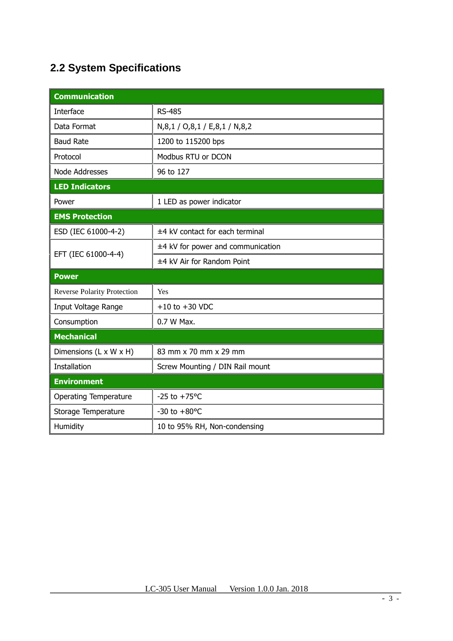## **2.2 System Specifications**

| <b>Communication</b>               |                                     |  |  |  |
|------------------------------------|-------------------------------------|--|--|--|
| Interface                          | <b>RS-485</b>                       |  |  |  |
| Data Format                        | N,8,1 / O,8,1 / E,8,1 / N,8,2       |  |  |  |
| <b>Baud Rate</b>                   | 1200 to 115200 bps                  |  |  |  |
| Protocol                           | Modbus RTU or DCON                  |  |  |  |
| Node Addresses                     | 96 to 127                           |  |  |  |
| <b>LED Indicators</b>              |                                     |  |  |  |
| Power                              | 1 LED as power indicator            |  |  |  |
| <b>EMS Protection</b>              |                                     |  |  |  |
| ESD (IEC 61000-4-2)                | ±4 kV contact for each terminal     |  |  |  |
|                                    | $±4$ kV for power and communication |  |  |  |
| EFT (IEC 61000-4-4)                | ±4 kV Air for Random Point          |  |  |  |
| <b>Power</b>                       |                                     |  |  |  |
| <b>Reverse Polarity Protection</b> | Yes                                 |  |  |  |
| Input Voltage Range                | $+10$ to $+30$ VDC                  |  |  |  |
| Consumption                        | 0.7 W Max.                          |  |  |  |
| <b>Mechanical</b>                  |                                     |  |  |  |
| Dimensions (L x W x H)             | 83 mm x 70 mm x 29 mm               |  |  |  |
| Installation                       | Screw Mounting / DIN Rail mount     |  |  |  |
| <b>Environment</b>                 |                                     |  |  |  |
| <b>Operating Temperature</b>       | $-25$ to $+75^{\circ}$ C            |  |  |  |
| Storage Temperature                | $-30$ to $+80$ °C                   |  |  |  |
| Humidity                           | 10 to 95% RH, Non-condensing        |  |  |  |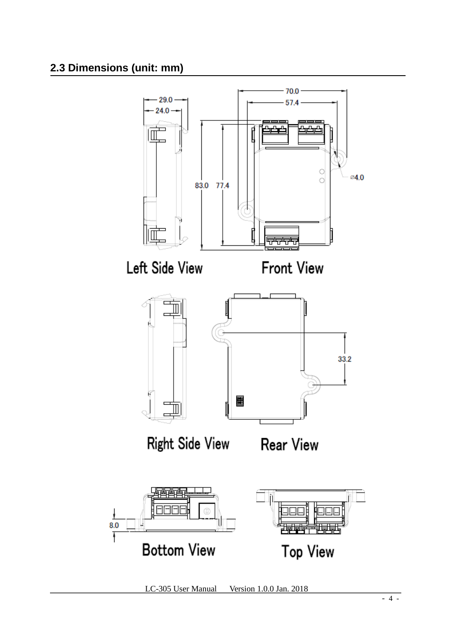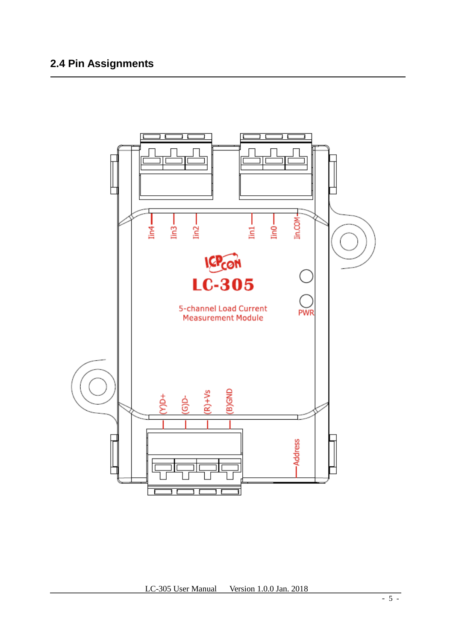### **2.4 Pin Assignments**

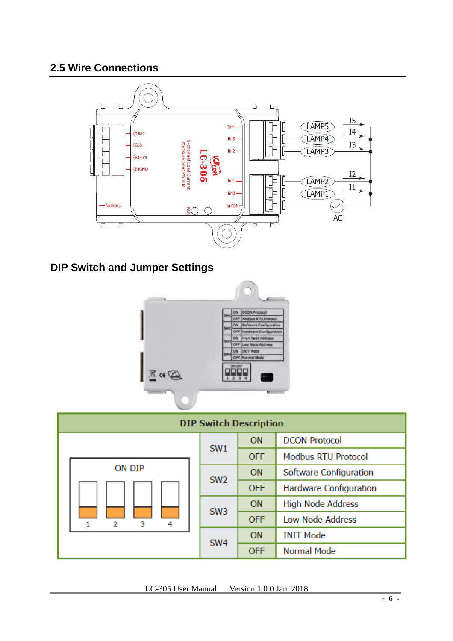#### **2.5 Wire Connections**



### **DIP Switch and Jumper Settings**



| <b>DIP Switch Description</b> |                 |            |                            |
|-------------------------------|-----------------|------------|----------------------------|
|                               |                 | <b>ON</b>  | <b>DCON Protocol</b>       |
|                               | SW <sub>1</sub> | <b>OFF</b> | <b>Modbus RTU Protocol</b> |
| ON DIP                        | SW <sub>2</sub> | <b>ON</b>  | Software Configuration     |
|                               |                 | <b>OFF</b> | Hardware Configuration     |
|                               | SW <sub>3</sub> | <b>ON</b>  | <b>High Node Address</b>   |
| 3<br>4<br>2                   |                 | <b>OFF</b> | <b>Low Node Address</b>    |
|                               | SW <sub>4</sub> | <b>ON</b>  | <b>INIT Mode</b>           |
|                               |                 | <b>OFF</b> | <b>Normal Mode</b>         |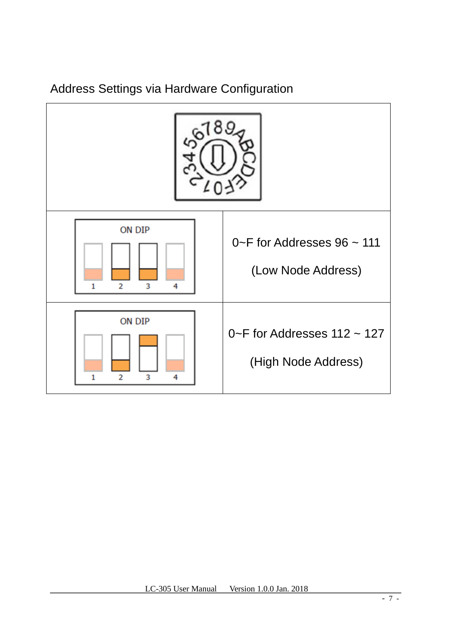Address Settings via Hardware Configuration